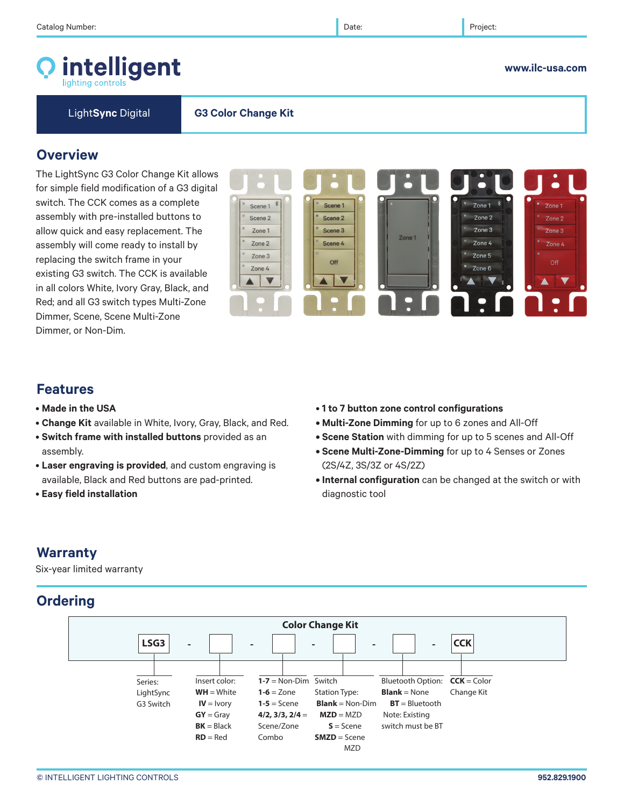

**www.ilc-usa.com** 

Light**Sync** Digital **G3 Color Change Kit**

## **Overview**

The LightSync G3 Color Change Kit allows for simple field modification of a G3 digital switch. The CCK comes as a complete assembly with pre-installed buttons to allow quick and easy replacement. The assembly will come ready to install by replacing the switch frame in your existing G3 switch. The CCK is available in all colors White, Ivory Gray, Black, and Red; and all G3 switch types Multi-Zone Dimmer, Scene, Scene Multi-Zone Dimmer, or Non-Dim.



# **Features**

- **Made in the USA**
- **Change Kit** available in White, Ivory, Gray, Black, and Red.
- **Switch frame with installed buttons** provided as an assembly.
- **Laser engraving is provided**, and custom engraving is available, Black and Red buttons are pad-printed.
- • **Easy field installation**
- **1 to 7 button zone control configurations**
- **Multi-Zone Dimming** for up to 6 zones and All-Off
- **Scene Station** with dimming for up to 5 scenes and All-Off
- **Scene Multi-Zone-Dimming** for up to 4 Senses or Zones (2S/4Z, 3S/3Z or 4S/2Z)
- **Internal configuration** can be changed at the switch or with diagnostic tool

# **Warranty**

Six-year limited warranty

# **Ordering**